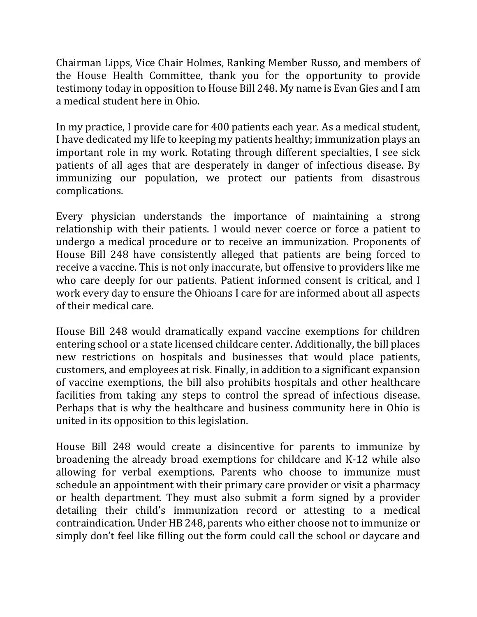Chairman Lipps, Vice Chair Holmes, Ranking Member Russo, and members of the House Health Committee, thank you for the opportunity to provide testimony today in opposition to House Bill 248. My name is Evan Gies and I am a medical student here in Ohio.

In my practice, I provide care for 400 patients each year. As a medical student, I have dedicated my life to keeping my patients healthy; immunization plays an important role in my work. Rotating through different specialties, I see sick patients of all ages that are desperately in danger of infectious disease. By immunizing our population, we protect our patients from disastrous complications.

Every physician understands the importance of maintaining a strong relationship with their patients. I would never coerce or force a patient to undergo a medical procedure or to receive an immunization. Proponents of House Bill 248 have consistently alleged that patients are being forced to receive a vaccine. This is not only inaccurate, but offensive to providers like me who care deeply for our patients. Patient informed consent is critical, and I work every day to ensure the Ohioans I care for are informed about all aspects of their medical care.

House Bill 248 would dramatically expand vaccine exemptions for children entering school or a state licensed childcare center. Additionally, the bill places new restrictions on hospitals and businesses that would place patients, customers, and employees at risk. Finally, in addition to a significant expansion of vaccine exemptions, the bill also prohibits hospitals and other healthcare facilities from taking any steps to control the spread of infectious disease. Perhaps that is why the healthcare and business community here in Ohio is united in its opposition to this legislation.

House Bill 248 would create a disincentive for parents to immunize by broadening the already broad exemptions for childcare and K-12 while also allowing for verbal exemptions. Parents who choose to immunize must schedule an appointment with their primary care provider or visit a pharmacy or health department. They must also submit a form signed by a provider detailing their child's immunization record or attesting to a medical contraindication. Under HB 248, parents who either choose not to immunize or simply don't feel like filling out the form could call the school or daycare and